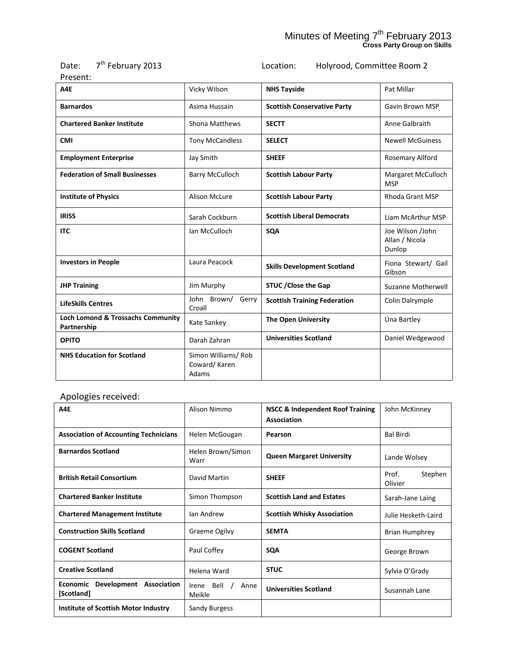#### Minutes of Meeting 7<sup>th</sup> February 2013 **Cross Party Group on Skills**

| 7 <sup>th</sup> February 2013<br>Date:<br>Present: |                                             | Holyrood, Committee Room 2<br>Location: |                                              |
|----------------------------------------------------|---------------------------------------------|-----------------------------------------|----------------------------------------------|
| A4E                                                | Vicky Wilson                                | <b>NHS Tayside</b>                      | Pat Millar                                   |
| <b>Barnardos</b>                                   | Asima Hussain                               | <b>Scottish Conservative Party</b>      | Gavin Brown MSP                              |
| <b>Chartered Banker Institute</b>                  | Shona Matthews                              | <b>SECTT</b>                            | Anne Galbraith                               |
| <b>CMI</b>                                         | <b>Tony McCandless</b>                      | <b>SELECT</b>                           | <b>Newell McGuiness</b>                      |
| <b>Employment Enterprise</b>                       | Jay Smith                                   | <b>SHEEF</b>                            | Rosemary Allford                             |
| <b>Federation of Small Businesses</b>              | <b>Barry McCulloch</b>                      | <b>Scottish Labour Party</b>            | Margaret McCulloch<br><b>MSP</b>             |
| <b>Institute of Physics</b>                        | <b>Alison McLure</b>                        | <b>Scottish Labour Party</b>            | <b>Rhoda Grant MSP</b>                       |
| <b>IRISS</b>                                       | Sarah Cockburn                              | <b>Scottish Liberal Democrats</b>       | Liam McArthur MSP                            |
| <b>ITC</b>                                         | Ian McCulloch                               | <b>SQA</b>                              | Joe Wilson /John<br>Allan / Nicola<br>Dunlop |
| <b>Investors in People</b>                         | Laura Peacock                               | <b>Skills Development Scotland</b>      | Fiona Stewart/ Gail<br>Gibson                |
| <b>JHP Training</b>                                | Jim Murphy                                  | <b>STUC / Close the Gap</b>             | Suzanne Motherwell                           |
| <b>LifeSkills Centres</b>                          | John Brown/<br>Gerry<br>Croall              | <b>Scottish Training Federation</b>     | Colin Dalrymple                              |
| Loch Lomond & Trossachs Community<br>Partnership   | Kate Sankey                                 | <b>The Open University</b>              | Úna Bartley                                  |
| <b>OPITO</b>                                       | Darah Zahran                                | <b>Universities Scotland</b>            | Daniel Wedgewood                             |
| <b>NHS Education for Scotland</b>                  | Simon Williams/Rob<br>Coward/Karen<br>Adams |                                         |                                              |

# Apologies received:

| A4E                                               | Alison Nimmo                    | <b>NSCC &amp; Independent Roof Training</b><br>Association | John McKinney               |
|---------------------------------------------------|---------------------------------|------------------------------------------------------------|-----------------------------|
| <b>Association of Accounting Technicians</b>      | Helen McGougan                  | Pearson                                                    | <b>Bal Birdi</b>            |
| <b>Barnardos Scotland</b>                         | Helen Brown/Simon<br>Warr       | <b>Queen Margaret University</b>                           | Lande Wolsey                |
| <b>British Retail Consortium</b>                  | David Martin                    | <b>SHEEF</b>                                               | Prof.<br>Stephen<br>Olivier |
| <b>Chartered Banker Institute</b>                 | Simon Thompson                  | <b>Scottish Land and Estates</b>                           | Sarah-Jane Laing            |
| <b>Chartered Management Institute</b>             | Ian Andrew                      | <b>Scottish Whisky Association</b>                         | Julie Hesketh-Laird         |
| <b>Construction Skills Scotland</b>               | Graeme Ogilvy                   | <b>SEMTA</b>                                               | <b>Brian Humphrey</b>       |
| <b>COGENT Scotland</b>                            | Paul Coffey                     | <b>SQA</b>                                                 | George Brown                |
| <b>Creative Scotland</b>                          | Helena Ward                     | <b>STUC</b>                                                | Sylvia O'Grady              |
| Development Association<br>Economic<br>[Scotland] | Bell<br>Anne<br>Irene<br>Meikle | <b>Universities Scotland</b>                               | Susannah Lane               |
| Institute of Scottish Motor Industry              | Sandy Burgess                   |                                                            |                             |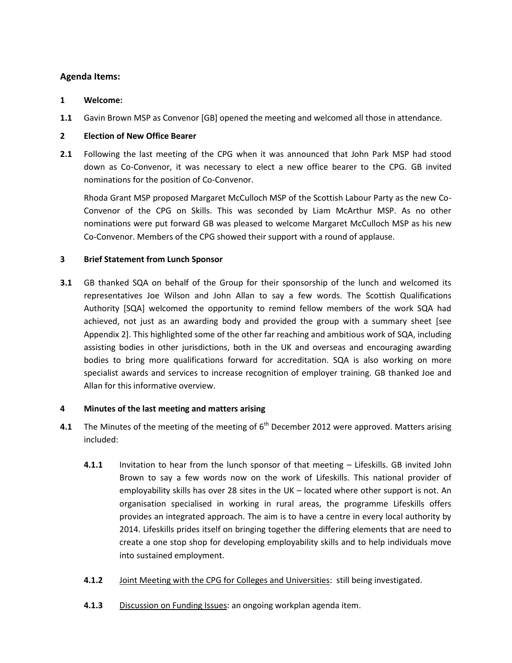## **Agenda Items:**

#### **1 Welcome:**

**1.1** Gavin Brown MSP as Convenor [GB] opened the meeting and welcomed all those in attendance.

### **2 Election of New Office Bearer**

**2.1** Following the last meeting of the CPG when it was announced that John Park MSP had stood down as Co-Convenor, it was necessary to elect a new office bearer to the CPG. GB invited nominations for the position of Co-Convenor.

Rhoda Grant MSP proposed Margaret McCulloch MSP of the Scottish Labour Party as the new Co-Convenor of the CPG on Skills. This was seconded by Liam McArthur MSP. As no other nominations were put forward GB was pleased to welcome Margaret McCulloch MSP as his new Co-Convenor. Members of the CPG showed their support with a round of applause.

### **3 Brief Statement from Lunch Sponsor**

**3.1** GB thanked SQA on behalf of the Group for their sponsorship of the lunch and welcomed its representatives Joe Wilson and John Allan to say a few words. The Scottish Qualifications Authority [SQA] welcomed the opportunity to remind fellow members of the work SQA had achieved, not just as an awarding body and provided the group with a summary sheet [see Appendix 2]. This highlighted some of the other far reaching and ambitious work of SQA, including assisting bodies in other jurisdictions, both in the UK and overseas and encouraging awarding bodies to bring more qualifications forward for accreditation. SQA is also working on more specialist awards and services to increase recognition of employer training. GB thanked Joe and Allan for this informative overview.

### **4 Minutes of the last meeting and matters arising**

- **4.1** The Minutes of the meeting of the meeting of 6<sup>th</sup> December 2012 were approved. Matters arising included:
	- **4.1.1** Invitation to hear from the lunch sponsor of that meeting Lifeskills. GB invited John Brown to say a few words now on the work of Lifeskills. This national provider of employability skills has over 28 sites in the UK – located where other support is not. An organisation specialised in working in rural areas, the programme Lifeskills offers provides an integrated approach. The aim is to have a centre in every local authority by 2014. Lifeskills prides itself on bringing together the differing elements that are need to create a one stop shop for developing employability skills and to help individuals move into sustained employment.
	- **4.1.2** Joint Meeting with the CPG for Colleges and Universities: still being investigated.
	- **4.1.3** Discussion on Funding Issues: an ongoing workplan agenda item.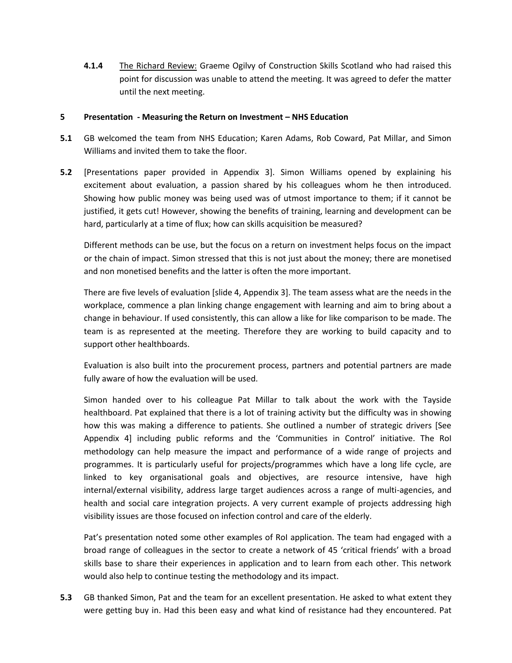**4.1.4** The Richard Review: Graeme Ogilvy of Construction Skills Scotland who had raised this point for discussion was unable to attend the meeting. It was agreed to defer the matter until the next meeting.

#### **5 Presentation - Measuring the Return on Investment – NHS Education**

- **5.1** GB welcomed the team from NHS Education; Karen Adams, Rob Coward, Pat Millar, and Simon Williams and invited them to take the floor.
- **5.2** [Presentations paper provided in Appendix 3]. Simon Williams opened by explaining his excitement about evaluation, a passion shared by his colleagues whom he then introduced. Showing how public money was being used was of utmost importance to them; if it cannot be justified, it gets cut! However, showing the benefits of training, learning and development can be hard, particularly at a time of flux; how can skills acquisition be measured?

Different methods can be use, but the focus on a return on investment helps focus on the impact or the chain of impact. Simon stressed that this is not just about the money; there are monetised and non monetised benefits and the latter is often the more important.

There are five levels of evaluation [slide 4, Appendix 3]. The team assess what are the needs in the workplace, commence a plan linking change engagement with learning and aim to bring about a change in behaviour. If used consistently, this can allow a like for like comparison to be made. The team is as represented at the meeting. Therefore they are working to build capacity and to support other healthboards.

Evaluation is also built into the procurement process, partners and potential partners are made fully aware of how the evaluation will be used.

Simon handed over to his colleague Pat Millar to talk about the work with the Tayside healthboard. Pat explained that there is a lot of training activity but the difficulty was in showing how this was making a difference to patients. She outlined a number of strategic drivers [See Appendix 4] including public reforms and the 'Communities in Control' initiative. The RoI methodology can help measure the impact and performance of a wide range of projects and programmes. It is particularly useful for projects/programmes which have a long life cycle, are linked to key organisational goals and objectives, are resource intensive, have high internal/external visibility, address large target audiences across a range of multi-agencies, and health and social care integration projects. A very current example of projects addressing high visibility issues are those focused on infection control and care of the elderly.

Pat's presentation noted some other examples of RoI application. The team had engaged with a broad range of colleagues in the sector to create a network of 45 'critical friends' with a broad skills base to share their experiences in application and to learn from each other. This network would also help to continue testing the methodology and its impact.

**5.3** GB thanked Simon, Pat and the team for an excellent presentation. He asked to what extent they were getting buy in. Had this been easy and what kind of resistance had they encountered. Pat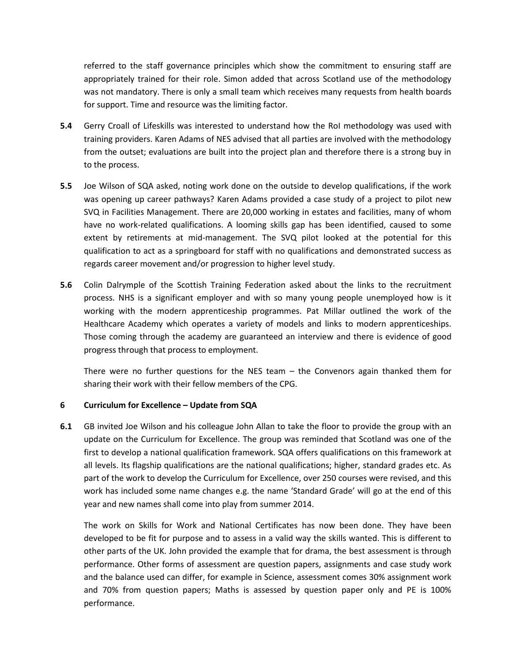referred to the staff governance principles which show the commitment to ensuring staff are appropriately trained for their role. Simon added that across Scotland use of the methodology was not mandatory. There is only a small team which receives many requests from health boards for support. Time and resource was the limiting factor.

- **5.4** Gerry Croall of Lifeskills was interested to understand how the RoI methodology was used with training providers. Karen Adams of NES advised that all parties are involved with the methodology from the outset; evaluations are built into the project plan and therefore there is a strong buy in to the process.
- **5.5** Joe Wilson of SQA asked, noting work done on the outside to develop qualifications, if the work was opening up career pathways? Karen Adams provided a case study of a project to pilot new SVQ in Facilities Management. There are 20,000 working in estates and facilities, many of whom have no work-related qualifications. A looming skills gap has been identified, caused to some extent by retirements at mid-management. The SVQ pilot looked at the potential for this qualification to act as a springboard for staff with no qualifications and demonstrated success as regards career movement and/or progression to higher level study.
- **5.6** Colin Dalrymple of the Scottish Training Federation asked about the links to the recruitment process. NHS is a significant employer and with so many young people unemployed how is it working with the modern apprenticeship programmes. Pat Millar outlined the work of the Healthcare Academy which operates a variety of models and links to modern apprenticeships. Those coming through the academy are guaranteed an interview and there is evidence of good progress through that process to employment.

There were no further questions for the NES team – the Convenors again thanked them for sharing their work with their fellow members of the CPG.

#### **6 Curriculum for Excellence – Update from SQA**

**6.1** GB invited Joe Wilson and his colleague John Allan to take the floor to provide the group with an update on the Curriculum for Excellence. The group was reminded that Scotland was one of the first to develop a national qualification framework. SQA offers qualifications on this framework at all levels. Its flagship qualifications are the national qualifications; higher, standard grades etc. As part of the work to develop the Curriculum for Excellence, over 250 courses were revised, and this work has included some name changes e.g. the name 'Standard Grade' will go at the end of this year and new names shall come into play from summer 2014.

The work on Skills for Work and National Certificates has now been done. They have been developed to be fit for purpose and to assess in a valid way the skills wanted. This is different to other parts of the UK. John provided the example that for drama, the best assessment is through performance. Other forms of assessment are question papers, assignments and case study work and the balance used can differ, for example in Science, assessment comes 30% assignment work and 70% from question papers; Maths is assessed by question paper only and PE is 100% performance.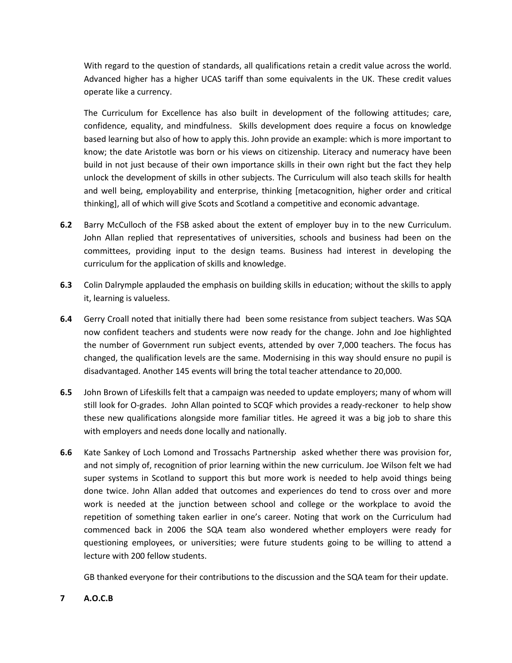With regard to the question of standards, all qualifications retain a credit value across the world. Advanced higher has a higher UCAS tariff than some equivalents in the UK. These credit values operate like a currency.

The Curriculum for Excellence has also built in development of the following attitudes; care, confidence, equality, and mindfulness. Skills development does require a focus on knowledge based learning but also of how to apply this. John provide an example: which is more important to know; the date Aristotle was born or his views on citizenship. Literacy and numeracy have been build in not just because of their own importance skills in their own right but the fact they help unlock the development of skills in other subjects. The Curriculum will also teach skills for health and well being, employability and enterprise, thinking [metacognition, higher order and critical thinking], all of which will give Scots and Scotland a competitive and economic advantage.

- **6.2** Barry McCulloch of the FSB asked about the extent of employer buy in to the new Curriculum. John Allan replied that representatives of universities, schools and business had been on the committees, providing input to the design teams. Business had interest in developing the curriculum for the application of skills and knowledge.
- **6.3** Colin Dalrymple applauded the emphasis on building skills in education; without the skills to apply it, learning is valueless.
- **6.4** Gerry Croall noted that initially there had been some resistance from subject teachers. Was SQA now confident teachers and students were now ready for the change. John and Joe highlighted the number of Government run subject events, attended by over 7,000 teachers. The focus has changed, the qualification levels are the same. Modernising in this way should ensure no pupil is disadvantaged. Another 145 events will bring the total teacher attendance to 20,000.
- **6.5** John Brown of Lifeskills felt that a campaign was needed to update employers; many of whom will still look for O-grades. John Allan pointed to SCQF which provides a ready-reckoner to help show these new qualifications alongside more familiar titles. He agreed it was a big job to share this with employers and needs done locally and nationally.
- **6.6** Kate Sankey of Loch Lomond and Trossachs Partnership asked whether there was provision for, and not simply of, recognition of prior learning within the new curriculum. Joe Wilson felt we had super systems in Scotland to support this but more work is needed to help avoid things being done twice. John Allan added that outcomes and experiences do tend to cross over and more work is needed at the junction between school and college or the workplace to avoid the repetition of something taken earlier in one's career. Noting that work on the Curriculum had commenced back in 2006 the SQA team also wondered whether employers were ready for questioning employees, or universities; were future students going to be willing to attend a lecture with 200 fellow students.

GB thanked everyone for their contributions to the discussion and the SQA team for their update.

### **7 A.O.C.B**